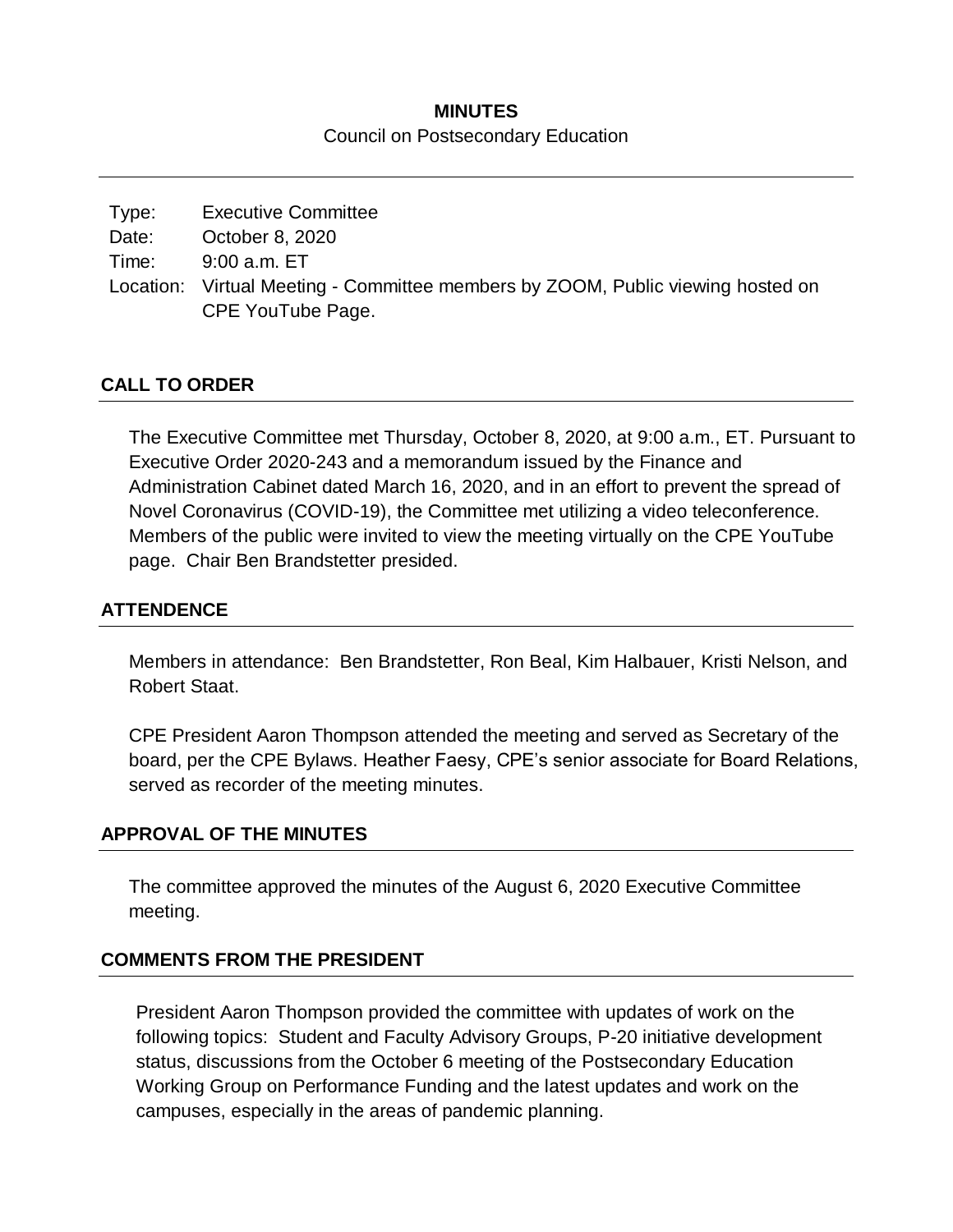## **MINUTES** Council on Postsecondary Education

| Type: | <b>Executive Committee</b>                                                                           |
|-------|------------------------------------------------------------------------------------------------------|
| Date: | October 8, 2020                                                                                      |
| Time: | 9:00 a.m. ET                                                                                         |
|       | Location: Virtual Meeting - Committee members by ZOOM, Public viewing hosted on<br>CPE YouTube Page. |

### **CALL TO ORDER**

The Executive Committee met Thursday, October 8, 2020, at 9:00 a.m., ET. Pursuant to Executive Order 2020-243 and a memorandum issued by the Finance and Administration Cabinet dated March 16, 2020, and in an effort to prevent the spread of Novel Coronavirus (COVID-19), the Committee met utilizing a video teleconference. Members of the public were invited to view the meeting virtually on the CPE YouTube page. Chair Ben Brandstetter presided.

### **ATTENDENCE**

Members in attendance: Ben Brandstetter, Ron Beal, Kim Halbauer, Kristi Nelson, and Robert Staat.

CPE President Aaron Thompson attended the meeting and served as Secretary of the board, per the CPE Bylaws. Heather Faesy, CPE's senior associate for Board Relations, served as recorder of the meeting minutes.

#### **APPROVAL OF THE MINUTES**

The committee approved the minutes of the August 6, 2020 Executive Committee meeting.

#### **COMMENTS FROM THE PRESIDENT**

President Aaron Thompson provided the committee with updates of work on the following topics: Student and Faculty Advisory Groups, P-20 initiative development status, discussions from the October 6 meeting of the Postsecondary Education Working Group on Performance Funding and the latest updates and work on the campuses, especially in the areas of pandemic planning.